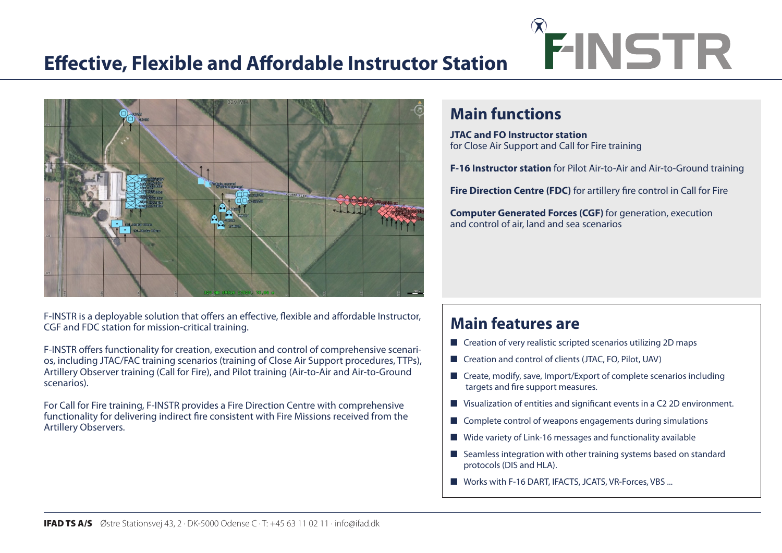# **Effective, Flexible and Affordable Instructor Station**



F-INSTR is a deployable solution that offers an effective, flexible and affordable Instructor, CGF and FDC station for mission-critical training.

F-INSTR offers functionality for creation, execution and control of comprehensive scenarios, including JTAC/FAC training scenarios (training of Close Air Support procedures, TTPs), Artillery Observer training (Call for Fire), and Pilot training (Air-to-Air and Air-to-Ground scenarios).

For Call for Fire training, F-INSTR provides a Fire Direction Centre with comprehensive functionality for delivering indirect fire consistent with Fire Missions received from the Artillery Observers.

# FINSTR FO INSTRUCTOR

# **Main functions**

**JTAC and FO Instructor station** for Close Air Support and Call for Fire training

**F-16 Instructor station** for Pilot Air-to-Air and Air-to-Ground training

**Fire Direction Centre (FDC)** for artillery fire control in Call for Fire

**Computer Generated Forces (CGF)** for generation, execution and control of air, land and sea scenarios

# **Main features are**

- Creation of very realistic scripted scenarios utilizing 2D maps
- Creation and control of clients (JTAC, FO, Pilot, UAV)
- Create, modify, save, Import/Export of complete scenarios including targets and fire support measures.
- Visualization of entities and significant events in a C2 2D environment.
- Complete control of weapons engagements during simulations
- Wide variety of Link-16 messages and functionality available
- Seamless integration with other training systems based on standard protocols (DIS and HLA).
- Works with F-16 DART, IFACTS, JCATS, VR-Forces, VBS ...